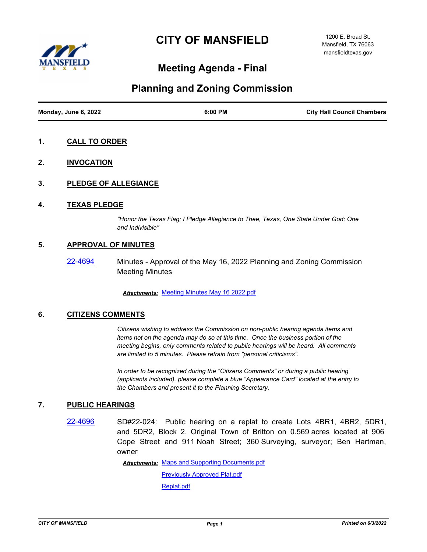# **CITY OF MANSFIELD**



## **Meeting Agenda - Final**

### **Planning and Zoning Commission**

| Monday, June 6, 2022 | 6:00 PM | <b>City Hall Council Chambers</b> |
|----------------------|---------|-----------------------------------|

- **1. CALL TO ORDER**
- **2. INVOCATION**
- **3. PLEDGE OF ALLEGIANCE**
- **4. TEXAS PLEDGE**

*"Honor the Texas Flag; I Pledge Allegiance to Thee, Texas, One State Under God; One and Indivisible"*

#### **5. APPROVAL OF MINUTES**

[22-4694](http://mansfield.legistar.com/gateway.aspx?m=l&id=/matter.aspx?key=8808) Minutes - Approval of the May 16, 2022 Planning and Zoning Commission Meeting Minutes

*Attachments:* [Meeting Minutes May 16 2022.pdf](http://Mansfield.legistar.com/gateway.aspx?M=F&ID=1e7d36dc-a543-426e-83e2-ddde77997411.pdf)

#### **6. CITIZENS COMMENTS**

*Citizens wishing to address the Commission on non-public hearing agenda items and items not on the agenda may do so at this time. Once the business portion of the meeting begins, only comments related to public hearings will be heard. All comments are limited to 5 minutes. Please refrain from "personal criticisms".*

*In order to be recognized during the "Citizens Comments" or during a public hearing (applicants included), please complete a blue "Appearance Card" located at the entry to the Chambers and present it to the Planning Secretary.*

#### **7. PUBLIC HEARINGS**

[22-4696](http://mansfield.legistar.com/gateway.aspx?m=l&id=/matter.aspx?key=8810) SD#22-024: Public hearing on a replat to create Lots 4BR1, 4BR2, 5DR1, and 5DR2, Block 2, Original Town of Britton on 0.569 acres located at 906 Cope Street and 911 Noah Street; 360 Surveying, surveyor; Ben Hartman, owner

Attachments: [Maps and Supporting Documents.pdf](http://Mansfield.legistar.com/gateway.aspx?M=F&ID=feb40b53-ffc4-4747-926d-db67667a9df3.pdf)

[Previously Approved Plat.pdf](http://Mansfield.legistar.com/gateway.aspx?M=F&ID=edb1db60-7920-4120-b149-9c6249fc99c3.pdf) [Replat.pdf](http://Mansfield.legistar.com/gateway.aspx?M=F&ID=cbea3455-ed9b-4847-8bc2-14646db1958b.pdf)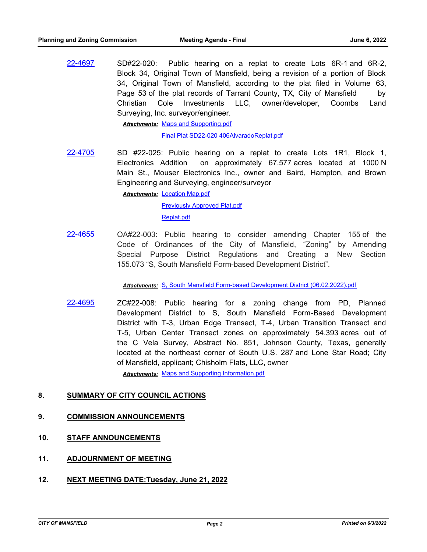[22-4697](http://mansfield.legistar.com/gateway.aspx?m=l&id=/matter.aspx?key=8811) SD#22-020: Public hearing on a replat to create Lots 6R-1 and 6R-2, Block 34, Original Town of Mansfield, being a revision of a portion of Block 34, Original Town of Mansfield, according to the plat filed in Volume 63, Page 53 of the plat records of Tarrant County, TX, City of Mansfield by Christian Cole Investments LLC, owner/developer, Coombs Land Surveying, Inc. surveyor/engineer.

Attachments: [Maps and Supporting.pdf](http://Mansfield.legistar.com/gateway.aspx?M=F&ID=1a861098-c030-4a5d-955b-52b024123320.pdf)

[Final Plat SD22-020 406AlvaradoReplat.pdf](http://Mansfield.legistar.com/gateway.aspx?M=F&ID=493e014e-37ec-4e74-8ad7-65f45076c624.pdf)

[22-4705](http://mansfield.legistar.com/gateway.aspx?m=l&id=/matter.aspx?key=8819) SD #22-025: Public hearing on a replat to create Lots 1R1, Block 1, Electronics Addition on approximately 67.577 acres located at 1000 N Main St., Mouser Electronics Inc., owner and Baird, Hampton, and Brown Engineering and Surveying, engineer/surveyor

> **Attachments: [Location Map.pdf](http://Mansfield.legistar.com/gateway.aspx?M=F&ID=16881b63-49cc-4f75-a385-bb9548f8546f.pdf)** [Previously Approved Plat.pdf](http://Mansfield.legistar.com/gateway.aspx?M=F&ID=fa62299f-22bb-42c8-bbf7-60ddd46f83e9.pdf) [Replat.pdf](http://Mansfield.legistar.com/gateway.aspx?M=F&ID=81bcc755-ca78-462b-8b05-340e0fcfca42.pdf)

[22-4655](http://mansfield.legistar.com/gateway.aspx?m=l&id=/matter.aspx?key=8767) OA#22-003: Public hearing to consider amending Chapter 155 of the Code of Ordinances of the City of Mansfield, "Zoning" by Amending Special Purpose District Regulations and Creating a New Section 155.073 "S, South Mansfield Form-based Development District".

*Attachments:* [S, South Mansfield Form-based Development District \(06.02.2022\).pdf](http://Mansfield.legistar.com/gateway.aspx?M=F&ID=4e4177f4-7d90-4f40-b2c8-b08a1e0ab612.pdf)

[22-4695](http://mansfield.legistar.com/gateway.aspx?m=l&id=/matter.aspx?key=8809) ZC#22-008: Public hearing for a zoning change from PD, Planned Development District to S, South Mansfield Form-Based Development District with T-3, Urban Edge Transect, T-4, Urban Transition Transect and T-5, Urban Center Transect zones on approximately 54.393 acres out of the C Vela Survey, Abstract No. 851, Johnson County, Texas, generally located at the northeast corner of South U.S. 287 and Lone Star Road; City of Mansfield, applicant; Chisholm Flats, LLC, owner

*Attachments:* [Maps and Supporting Information.pdf](http://Mansfield.legistar.com/gateway.aspx?M=F&ID=e740e577-5a4b-411f-a13b-2b89e4cd15b0.pdf)

### **8. SUMMARY OF CITY COUNCIL ACTIONS**

#### **9. COMMISSION ANNOUNCEMENTS**

- **10. STAFF ANNOUNCEMENTS**
- **11. ADJOURNMENT OF MEETING**
- **12. NEXT MEETING DATE:Tuesday, June 21, 2022**